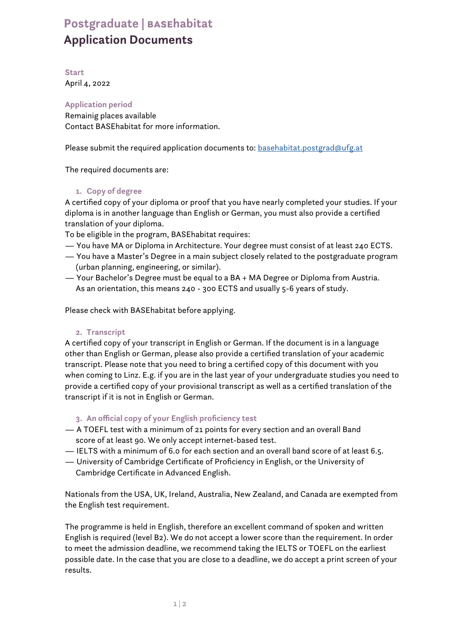# **Postgraduate | basehabitat Application Documents**

**Start** April 4, 2022

**Application period**  Remainig places available Contact BASEhabitat for more information.

Please submit the required application documents to: basehabitat.postgrad@ufg.at

The required documents are:

## **1. Copy of degree**

A certified copy of your diploma or proof that you have nearly completed your studies. If your diploma is in another language than English or German, you must also provide a certified translation of your diploma.

To be eligible in the program, BASEhabitat requires:

- You have MA or Diploma in Architecture. Your degree must consist of at least 240 ECTS.
- You have a Master's Degree in a main subject closely related to the postgraduate program (urban planning, engineering, or similar).
- Your Bachelor's Degree must be equal to a BA + MA Degree or Diploma from Austria. As an orientation, this means 240 - 300 ECTS and usually 5-6 years of study.

Please check with BASEhabitat before applying.

### **2. Transcript**

A certified copy of your transcript in English or German. If the document is in a language other than English or German, please also provide a certified translation of your academic transcript. Please note that you need to bring a certified copy of this document with you when coming to Linz. E.g. if you are in the last year of your undergraduate studies you need to provide a certified copy of your provisional transcript as well as a certified translation of the transcript if it is not in English or German.

## **3. An official copy of your English proficiency test**

- A TOEFL test with a minimum of 21 points for every section and an overall Band score of at least 90. We only accept internet-based test.
- IELTS with a minimum of 6.0 for each section and an overall band score of at least 6.5.
- University of Cambridge Certificate of Proficiency in English, or the University of Cambridge Certificate in Advanced English.

Nationals from the USA, UK, Ireland, Australia, New Zealand, and Canada are exempted from the English test requirement.

The programme is held in English, therefore an excellent command of spoken and written English is required (level B2). We do not accept a lower score than the requirement. In order to meet the admission deadline, we recommend taking the IELTS or TOEFL on the earliest possible date. In the case that you are close to a deadline, we do accept a print screen of your results.